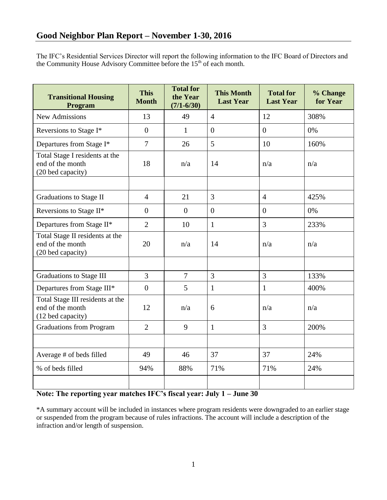The IFC's Residential Services Director will report the following information to the IFC Board of Directors and the Community House Advisory Committee before the  $15<sup>th</sup>$  of each month.

| <b>Transitional Housing</b><br>Program                                    | <b>This</b><br><b>Month</b> | <b>Total for</b><br>the Year<br>$(7/1 - 6/30)$ | <b>This Month</b><br><b>Last Year</b> | <b>Total for</b><br><b>Last Year</b> | % Change<br>for Year |
|---------------------------------------------------------------------------|-----------------------------|------------------------------------------------|---------------------------------------|--------------------------------------|----------------------|
| <b>New Admissions</b>                                                     | 13                          | 49                                             | $\overline{4}$                        | 12                                   | 308%                 |
| Reversions to Stage I*                                                    | $\theta$                    | 1                                              | $\theta$                              | $\overline{0}$                       | 0%                   |
| Departures from Stage I*                                                  | $\overline{7}$              | 26                                             | 5                                     | 10                                   | 160%                 |
| Total Stage I residents at the<br>end of the month<br>(20 bed capacity)   | 18                          | n/a                                            | 14                                    | n/a                                  | n/a                  |
|                                                                           |                             |                                                |                                       |                                      |                      |
| Graduations to Stage II                                                   | $\overline{4}$              | 21                                             | 3                                     | $\overline{4}$                       | 425%                 |
| Reversions to Stage II*                                                   | $\overline{0}$              | $\overline{0}$                                 | $\overline{0}$                        | $\overline{0}$                       | 0%                   |
| Departures from Stage II*                                                 | $\overline{2}$              | 10                                             | $\mathbf{1}$                          | 3                                    | 233%                 |
| Total Stage II residents at the<br>end of the month<br>(20 bed capacity)  | 20                          | n/a                                            | 14                                    | n/a                                  | n/a                  |
|                                                                           |                             |                                                |                                       |                                      |                      |
| Graduations to Stage III                                                  | $\overline{3}$              | $\overline{7}$                                 | $\overline{3}$                        | $\overline{3}$                       | 133%                 |
| Departures from Stage III*                                                | $\overline{0}$              | 5                                              | $\mathbf{1}$                          | $\mathbf{1}$                         | 400%                 |
| Total Stage III residents at the<br>end of the month<br>(12 bed capacity) | 12                          | n/a                                            | 6                                     | n/a                                  | n/a                  |
| <b>Graduations from Program</b>                                           | $\overline{2}$              | 9                                              | $\mathbf{1}$                          | 3                                    | 200%                 |
|                                                                           |                             |                                                |                                       |                                      |                      |
| Average # of beds filled                                                  | 49                          | 46                                             | 37                                    | 37                                   | 24%                  |
| % of beds filled                                                          | 94%                         | 88%                                            | 71%                                   | 71%                                  | 24%                  |
|                                                                           |                             |                                                |                                       |                                      |                      |

## **Note: The reporting year matches IFC's fiscal year: July 1 – June 30**

\*A summary account will be included in instances where program residents were downgraded to an earlier stage or suspended from the program because of rules infractions. The account will include a description of the infraction and/or length of suspension.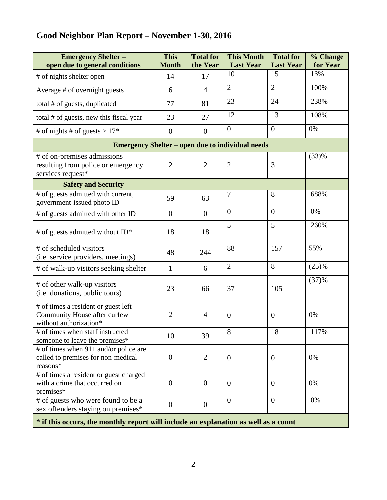# **Good Neighbor Plan Report – November 1-30, 2016**

| <b>Emergency Shelter-</b><br>open due to general conditions                                   | <b>This</b><br><b>Month</b> | <b>Total for</b><br>the Year | <b>This Month</b><br><b>Last Year</b> | <b>Total for</b><br><b>Last Year</b> | % Change<br>for Year |  |  |  |  |
|-----------------------------------------------------------------------------------------------|-----------------------------|------------------------------|---------------------------------------|--------------------------------------|----------------------|--|--|--|--|
| # of nights shelter open                                                                      | 14                          | 17                           | 10                                    | 15                                   | 13%                  |  |  |  |  |
| Average # of overnight guests                                                                 | 6                           | $\overline{4}$               | $\overline{2}$                        | $\overline{2}$                       | 100%                 |  |  |  |  |
| total # of guests, duplicated                                                                 | 77                          | 81                           | 23                                    | 24                                   | 238%                 |  |  |  |  |
| total # of guests, new this fiscal year                                                       | 23                          | 27                           | 12                                    | 13                                   | 108%                 |  |  |  |  |
| # of nights # of guests > $17*$                                                               | $\overline{0}$              | $\overline{0}$               | $\overline{0}$                        | $\overline{0}$                       | 0%                   |  |  |  |  |
| <b>Emergency Shelter – open due to individual needs</b>                                       |                             |                              |                                       |                                      |                      |  |  |  |  |
| # of on-premises admissions<br>resulting from police or emergency<br>services request*        | $\overline{2}$              | $\overline{2}$               | $\overline{2}$                        | 3                                    | (33)%                |  |  |  |  |
| <b>Safety and Security</b>                                                                    |                             |                              |                                       |                                      |                      |  |  |  |  |
| # of guests admitted with current,<br>government-issued photo ID                              | 59                          | 63                           | $\tau$                                | 8                                    | 688%                 |  |  |  |  |
| # of guests admitted with other ID                                                            | $\overline{0}$              | $\overline{0}$               | $\boldsymbol{0}$                      | $\overline{0}$                       | 0%                   |  |  |  |  |
| # of guests admitted without ID*                                                              | 18                          | 18                           | 5                                     | 5                                    | 260%                 |  |  |  |  |
| # of scheduled visitors<br>(i.e. service providers, meetings)                                 | 48                          | 244                          | 88                                    | 157                                  | 55%                  |  |  |  |  |
| # of walk-up visitors seeking shelter                                                         | $\mathbf{1}$                | 6                            | $\overline{2}$                        | 8                                    | (25)%                |  |  |  |  |
| # of other walk-up visitors<br>(i.e. donations, public tours)                                 | 23                          | 66                           | 37                                    | 105                                  | (37)%                |  |  |  |  |
| # of times a resident or guest left<br>Community House after curfew<br>without authorization* | $\overline{2}$              | $\overline{4}$               | $\overline{0}$                        | $\theta$                             | 0%                   |  |  |  |  |
| # of times when staff instructed<br>someone to leave the premises*                            | 10                          | 39                           | 8                                     | 18                                   | 117%                 |  |  |  |  |
| # of times when 911 and/or police are<br>called to premises for non-medical<br>reasons*       | $\boldsymbol{0}$            | $\overline{2}$               | $\boldsymbol{0}$                      | $\mathbf{0}$                         | 0%                   |  |  |  |  |
| # of times a resident or guest charged<br>with a crime that occurred on<br>premises*          | $\overline{0}$              | $\boldsymbol{0}$             | $\overline{0}$                        | $\theta$                             | 0%                   |  |  |  |  |
| # of guests who were found to be a<br>sex offenders staying on premises*                      | $\overline{0}$              | $\boldsymbol{0}$             | $\overline{0}$                        | $\overline{0}$                       | 0%                   |  |  |  |  |

**\* if this occurs, the monthly report will include an explanation as well as a count**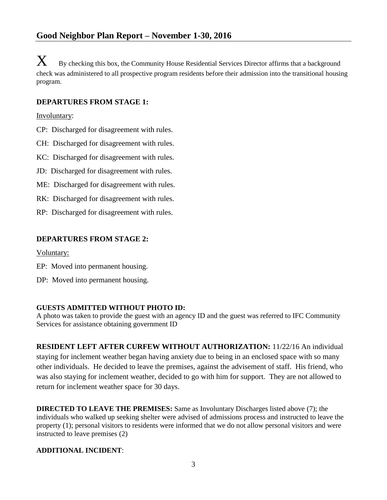$\mathbf X$  By checking this box, the Community House Residential Services Director affirms that a background check was administered to all prospective program residents before their admission into the transitional housing program.

## **DEPARTURES FROM STAGE 1:**

Involuntary:

- CP: Discharged for disagreement with rules.
- CH: Discharged for disagreement with rules.
- KC: Discharged for disagreement with rules.
- JD: Discharged for disagreement with rules.
- ME: Discharged for disagreement with rules.
- RK: Discharged for disagreement with rules.
- RP: Discharged for disagreement with rules.

## **DEPARTURES FROM STAGE 2:**

Voluntary:

- EP: Moved into permanent housing.
- DP: Moved into permanent housing.

#### **GUESTS ADMITTED WITHOUT PHOTO ID:**

A photo was taken to provide the guest with an agency ID and the guest was referred to IFC Community Services for assistance obtaining government ID

**RESIDENT LEFT AFTER CURFEW WITHOUT AUTHORIZATION:** 11/22/16 An individual staying for inclement weather began having anxiety due to being in an enclosed space with so many other individuals. He decided to leave the premises, against the advisement of staff. His friend, who was also staying for inclement weather, decided to go with him for support. They are not allowed to return for inclement weather space for 30 days.

**DIRECTED TO LEAVE THE PREMISES:** Same as Involuntary Discharges listed above (7); the individuals who walked up seeking shelter were advised of admissions process and instructed to leave the property (1); personal visitors to residents were informed that we do not allow personal visitors and were instructed to leave premises (2)

#### **ADDITIONAL INCIDENT**: